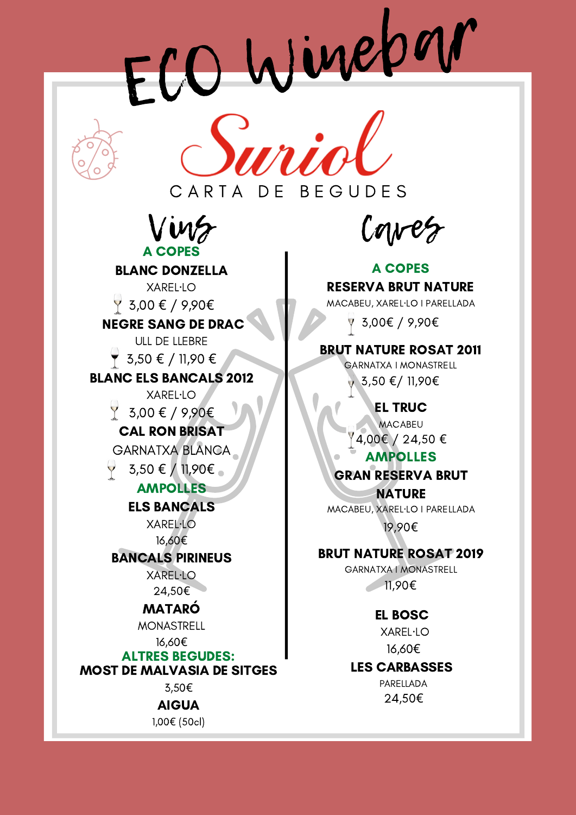ECO Winebar



Vins A COPES

BLANC DONZELLA XAREL·LO  $\frac{9}{5}$ ,00 € / 9,90€ NEGRE SANG DE DRAC ULL DE LLEBRE  $\overline{Y}$  3,50 € / 11,90 € BLANC ELS BANCALS 2012 XAREL·LO  $\frac{1}{2}$  3,00 € / 9,90€ CAL RON BRISAT GARNATXA BLANCA 3,50 € / 11,90€ AMPOLLES ELS BANCALS XAREL·LO 16,60€ BANCALS PIRINEUS XAREL·LO 24,50€ MATARÓ MONASTRELL

### 16,60€ ALTRES BEGUDES: MOST DE MALVASIA DE SITGES

3,50€

AIGUA 1,00€ (50cl)

Caves

A COPES RESERVA BRUT NATURE MACABEU, XAREL·LO I PARELLADA

3,00€ / 9,90€

# BRUT NATURE ROSAT 2011

GARNATXA I MONASTRELL 3,50 €/ 11,90€

> EL TRUC **MACABEU**

 $\frac{4,00 \in}{24,50 \in}$ 

# AMPOLLES

GRAN RESERVA BRUT

**NATURE** MACABEU, XAREL·LO I PARELLADA 19,90€

# BRUT NATURE ROSAT 2019

GARNATXA I MONASTRELL 11,90€

> EL BOSC XAREL·LO

16,60€

# LES CARBASSES

PARELLADA 24,50€